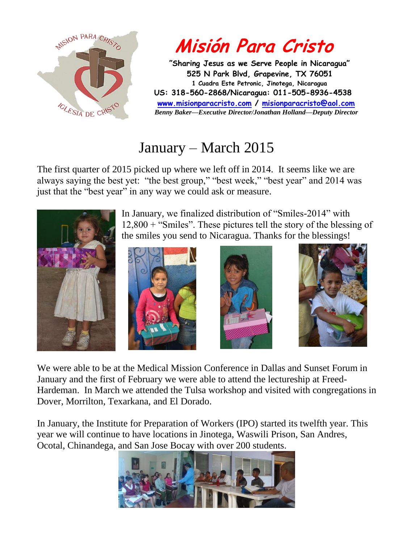

## **Misión Para Cristo**

 **"Sharing Jesus as we Serve People in Nicaragua" 525 N Park Blvd, Grapevine, TX 76051 1 Cuadra Este Petronic, Jinotega, Nicaragua US: 318-560-2868/Nicaragua: 011-505-8936-4538 [www.misionparacristo.com](http://www.misionparacristo.com/) / [misionparacristo@aol.com](mailto:misionparacristo@aol.com)**  *Benny Baker—Executive Director/Jonathan Holland—Deputy Director*

## January – March 2015

The first quarter of 2015 picked up where we left off in 2014. It seems like we are always saying the best yet: "the best group," "best week," "best year" and 2014 was just that the "best year" in any way we could ask or measure.



In January, we finalized distribution of "Smiles-2014" with 12,800 + "Smiles". These pictures tell the story of the blessing of the smiles you send to Nicaragua. Thanks for the blessings!







We were able to be at the Medical Mission Conference in Dallas and Sunset Forum in January and the first of February we were able to attend the lectureship at Freed-Hardeman. In March we attended the Tulsa workshop and visited with congregations in Dover, Morrilton, Texarkana, and El Dorado.

In January, the Institute for Preparation of Workers (IPO) started its twelfth year. This year we will continue to have locations in Jinotega, Waswili Prison, San Andres, Ocotal, Chinandega, and San Jose Bocay with over 200 students.

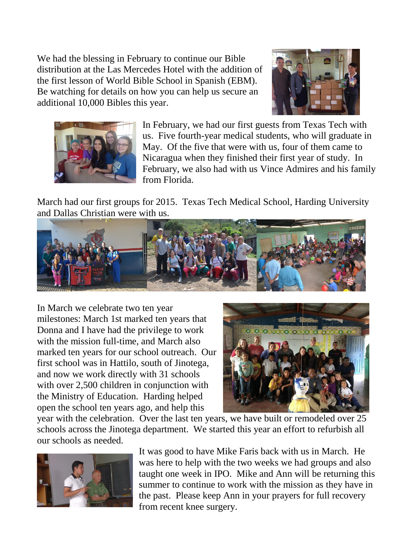We had the blessing in February to continue our Bible distribution at the Las Mercedes Hotel with the addition of the first lesson of World Bible School in Spanish (EBM). Be watching for details on how you can help us secure an additional 10,000 Bibles this year.





In February, we had our first guests from Texas Tech with us. Five fourth-year medical students, who will graduate in May. Of the five that were with us, four of them came to Nicaragua when they finished their first year of study. In February, we also had with us Vince Admires and his family from Florida.

March had our first groups for 2015. Texas Tech Medical School, Harding University and Dallas Christian were with us.



In March we celebrate two ten year milestones: March 1st marked ten years that Donna and I have had the privilege to work with the mission full-time, and March also marked ten years for our school outreach. Our first school was in Hattilo, south of Jinotega, and now we work directly with 31 schools with over 2,500 children in conjunction with the Ministry of Education. Harding helped open the school ten years ago, and help this



year with the celebration. Over the last ten years, we have built or remodeled over 25 schools across the Jinotega department. We started this year an effort to refurbish all our schools as needed.



It was good to have Mike Faris back with us in March. He was here to help with the two weeks we had groups and also taught one week in IPO. Mike and Ann will be returning this summer to continue to work with the mission as they have in the past. Please keep Ann in your prayers for full recovery from recent knee surgery.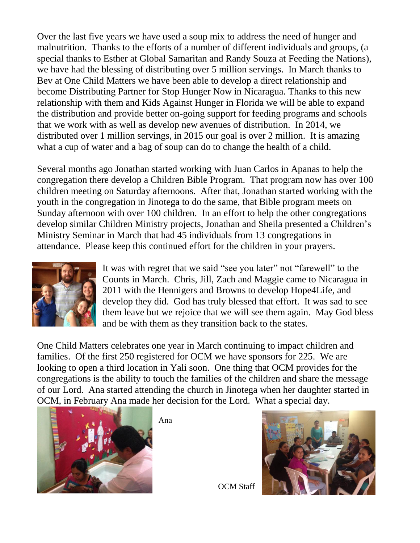Over the last five years we have used a soup mix to address the need of hunger and malnutrition. Thanks to the efforts of a number of different individuals and groups, (a special thanks to Esther at Global Samaritan and Randy Souza at Feeding the Nations), we have had the blessing of distributing over 5 million servings. In March thanks to Bev at One Child Matters we have been able to develop a direct relationship and become Distributing Partner for Stop Hunger Now in Nicaragua. Thanks to this new relationship with them and Kids Against Hunger in Florida we will be able to expand the distribution and provide better on-going support for feeding programs and schools that we work with as well as develop new avenues of distribution. In 2014, we distributed over 1 million servings, in 2015 our goal is over 2 million. It is amazing what a cup of water and a bag of soup can do to change the health of a child.

Several months ago Jonathan started working with Juan Carlos in Apanas to help the congregation there develop a Children Bible Program. That program now has over 100 children meeting on Saturday afternoons. After that, Jonathan started working with the youth in the congregation in Jinotega to do the same, that Bible program meets on Sunday afternoon with over 100 children. In an effort to help the other congregations develop similar Children Ministry projects, Jonathan and Sheila presented a Children's Ministry Seminar in March that had 45 individuals from 13 congregations in attendance. Please keep this continued effort for the children in your prayers.



It was with regret that we said "see you later" not "farewell" to the Counts in March. Chris, Jill, Zach and Maggie came to Nicaragua in 2011 with the Hennigers and Browns to develop Hope4Life, and develop they did. God has truly blessed that effort. It was sad to see them leave but we rejoice that we will see them again. May God bless and be with them as they transition back to the states.

One Child Matters celebrates one year in March continuing to impact children and families. Of the first 250 registered for OCM we have sponsors for 225. We are looking to open a third location in Yali soon. One thing that OCM provides for the congregations is the ability to touch the families of the children and share the message of our Lord. Ana started attending the church in Jinotega when her daughter started in OCM, in February Ana made her decision for the Lord. What a special day.



Ana



OCM Staff